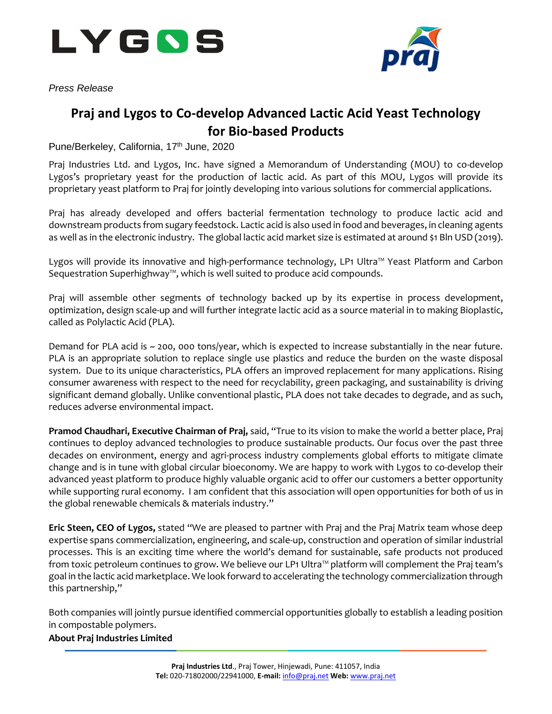

*Press Release*



## **Praj and Lygos to Co-develop Advanced Lactic Acid Yeast Technology for Bio-based Products**

Pune/Berkeley, California, 17<sup>th</sup> June, 2020

Praj Industries Ltd. and Lygos, Inc. have signed a Memorandum of Understanding (MOU) to co-develop Lygos's proprietary yeast for the production of lactic acid. As part of this MOU, Lygos will provide its proprietary yeast platform to Praj for jointly developing into various solutions for commercial applications.

Praj has already developed and offers bacterial fermentation technology to produce lactic acid and downstream products from sugary feedstock. Lactic acid is also used in food and beverages, in cleaning agents as well as in the electronic industry. The global lactic acid market size is estimated at around \$1 Bln USD (2019).

Lygos will provide its innovative and high-performance technology, LP1 Ultra™ Yeast Platform and Carbon Sequestration Superhighway™, which is well suited to produce acid compounds.

Praj will assemble other segments of technology backed up by its expertise in process development, optimization, design scale-up and will further integrate lactic acid as a source material in to making Bioplastic, called as Polylactic Acid (PLA).

Demand for PLA acid is ~ 200, 000 tons/year, which is expected to increase substantially in the near future. PLA is an appropriate solution to replace single use plastics and reduce the burden on the waste disposal system. Due to its unique characteristics, PLA offers an improved replacement for many applications. Rising consumer awareness with respect to the need for recyclability, green packaging, and sustainability is driving significant demand globally. Unlike conventional plastic, PLA does not take decades to degrade, and as such, reduces adverse environmental impact.

**Pramod Chaudhari, Executive Chairman of Praj,** said, "True to its vision to make the world a better place, Praj continues to deploy advanced technologies to produce sustainable products. Our focus over the past three decades on environment, energy and agri-process industry complements global efforts to mitigate climate change and is in tune with global circular bioeconomy. We are happy to work with Lygos to co-develop their advanced yeast platform to produce highly valuable organic acid to offer our customers a better opportunity while supporting rural economy. I am confident that this association will open opportunities for both of us in the global renewable chemicals & materials industry."

**Eric Steen, CEO of Lygos,** stated "We are pleased to partner with Praj and the Praj Matrix team whose deep expertise spans commercialization, engineering, and scale-up, construction and operation of similar industrial processes. This is an exciting time where the world's demand for sustainable, safe products not produced from toxic petroleum continues to grow. We believe our LP1 Ultra™ platform will complement the Praj team's goal in the lactic acid marketplace. We look forward to accelerating the technology commercialization through this partnership,"

Both companies will jointly pursue identified commercial opportunities globally to establish a leading position in compostable polymers.

## **About Praj Industries Limited**